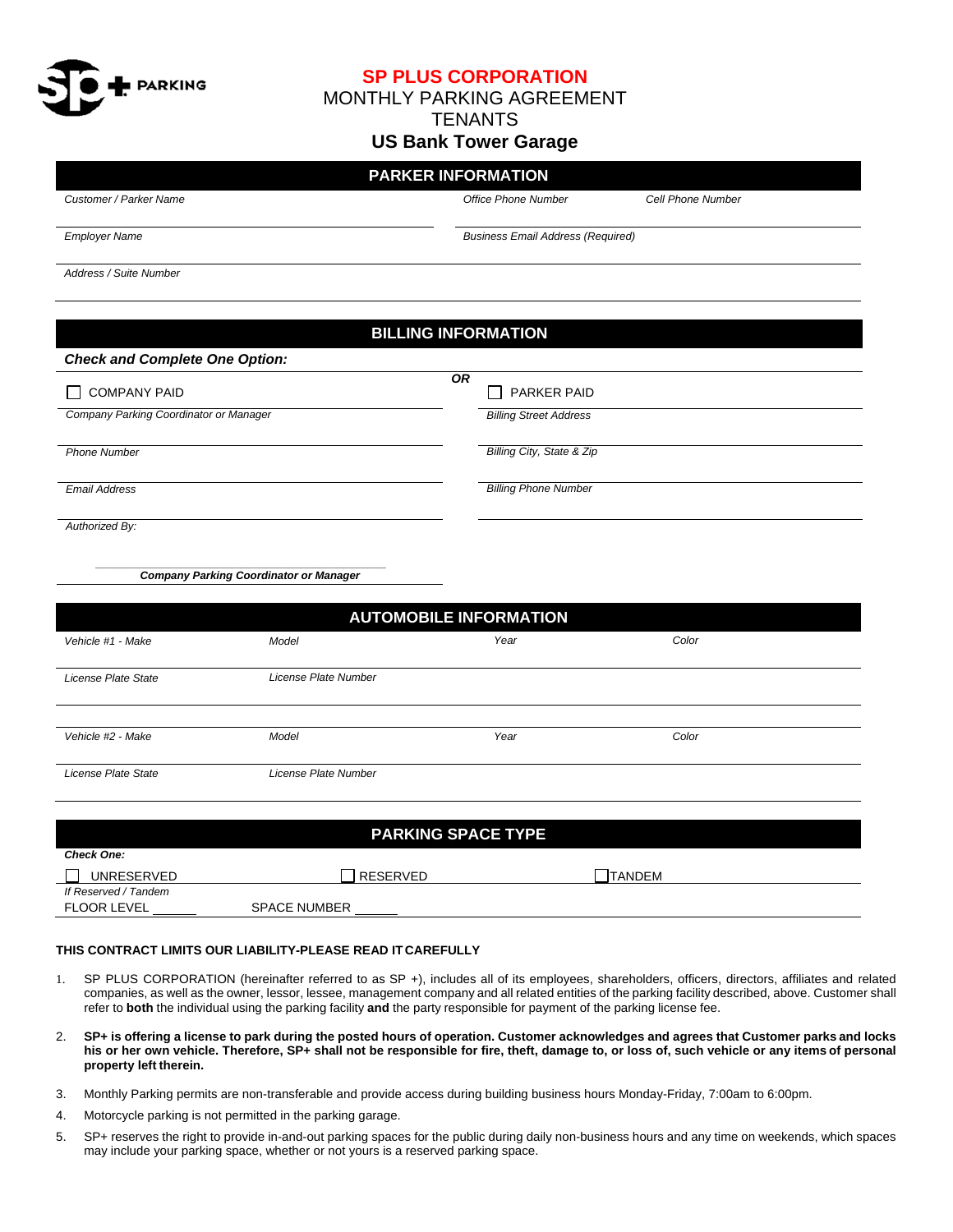

**SP PLUS CORPORATION**

MONTHLY PARKING AGREEMENT

**TENANTS** 

## **US Bank Tower Garage**

# **PARKER INFORMATION**

*Customer / Parker Name*

*Office Phone Number* 

*Cell Phone Number*

*Color*

*Employer Name*

*Business Email Address (Required)*

*Address / Suite Number*

# **BILLING INFORMATION** *Check and Complete One Option:*  COMPANY PAID *OR*  $\overline{OR}$ **PARKER PAID** *Company Parking Coordinator or Manager Billing Street Address Phone Number Billing City, State & Zip Email Address Billing Phone Number Authorized By: \_\_\_\_\_\_\_\_\_\_\_\_\_\_\_\_\_\_\_\_\_\_\_\_\_\_\_\_\_\_\_\_\_\_\_\_\_\_\_\_\_\_\_\_\_\_\_\_ Company Parking Coordinator or Manager*  **AUTOMOBILE INFORMATION**  *Vehicle #1 - Make Model Year Color*

*License Plate State License Plate Number*

*Vehicle #2 - Make*

*License Plate State* 

*License Plate Number*

| <b>PARKING SPACE TYPE</b> |                     |                |  |  |  |  |
|---------------------------|---------------------|----------------|--|--|--|--|
| <b>Check One:</b>         |                     |                |  |  |  |  |
| UNRESERVED                | RESERVED            | <b>ITANDEM</b> |  |  |  |  |
| If Reserved / Tandem      |                     |                |  |  |  |  |
| <b>FLOOR LEVEL</b>        | <b>SPACE NUMBER</b> |                |  |  |  |  |

*Year*

### **THIS CONTRACT LIMITS OUR LIABILITY-PLEASE READ IT CAREFULLY**

*Model*

- 1. SP PLUS CORPORATION (hereinafter referred to as SP +), includes all of its employees, shareholders, officers, directors, affiliates and related companies, as well as the owner, lessor, lessee, management company and all related entities of the parking facility described, above. Customer shall refer to **both** the individual using the parking facility **and** the party responsible for payment of the parking license fee.
- 2. **SP+ is offering a license to park during the posted hours of operation. Customer acknowledges and agrees that Customer parks and locks his or her own vehicle. Therefore, SP+ shall not be responsible for fire, theft, damage to, or loss of, such vehicle or any items of personal property left therein.**
- 3. Monthly Parking permits are non-transferable and provide access during building business hours Monday-Friday, 7:00am to 6:00pm.
- 4. Motorcycle parking is not permitted in the parking garage.
- 5. SP+ reserves the right to provide in-and-out parking spaces for the public during daily non-business hours and any time on weekends, which spaces may include your parking space, whether or not yours is a reserved parking space.